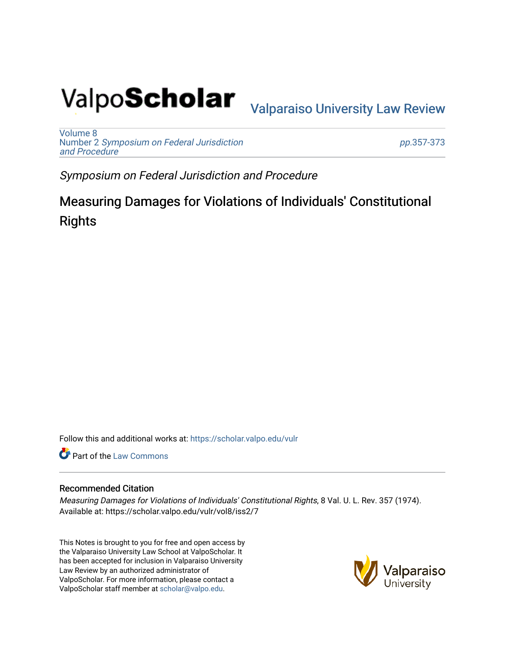# Valpo**Scholar** <sub>Valparaiso University Law Review</sub>

[Volume 8](https://scholar.valpo.edu/vulr/vol8) Number 2 [Symposium on Federal Jurisdiction](https://scholar.valpo.edu/vulr/vol8/iss2)  [and Procedure](https://scholar.valpo.edu/vulr/vol8/iss2)

pp.[357-373](https://scholar.valpo.edu/vulr/vol8/iss2/7) 

Symposium on Federal Jurisdiction and Procedure

Measuring Damages for Violations of Individuals' Constitutional **Rights** 

Follow this and additional works at: [https://scholar.valpo.edu/vulr](https://scholar.valpo.edu/vulr?utm_source=scholar.valpo.edu%2Fvulr%2Fvol8%2Fiss2%2F7&utm_medium=PDF&utm_campaign=PDFCoverPages)

**Part of the [Law Commons](http://network.bepress.com/hgg/discipline/578?utm_source=scholar.valpo.edu%2Fvulr%2Fvol8%2Fiss2%2F7&utm_medium=PDF&utm_campaign=PDFCoverPages)** 

## Recommended Citation

Measuring Damages for Violations of Individuals' Constitutional Rights, 8 Val. U. L. Rev. 357 (1974). Available at: https://scholar.valpo.edu/vulr/vol8/iss2/7

This Notes is brought to you for free and open access by the Valparaiso University Law School at ValpoScholar. It has been accepted for inclusion in Valparaiso University Law Review by an authorized administrator of ValpoScholar. For more information, please contact a ValpoScholar staff member at [scholar@valpo.edu](mailto:scholar@valpo.edu).

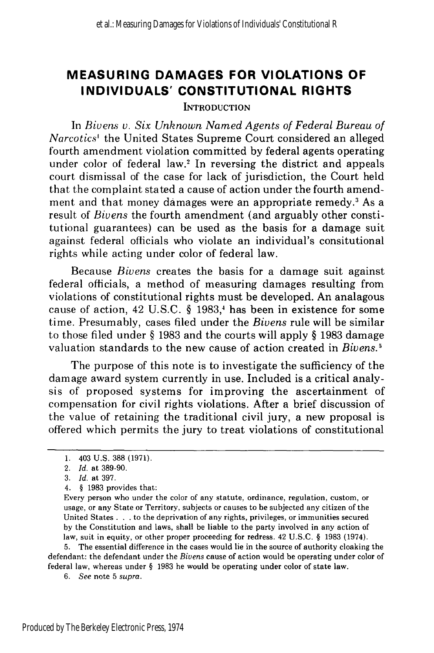## **MEASURING DAMAGES FOR VIOLATIONS OF INDIVIDUALS' CONSTITUTIONAL RIGHTS**

**INTRODUCTION** 

In *Bivens v. Six Unknown Named Agents of Federal Bureau of Narcotics'* the United States Supreme Court considered an alleged fourth amendment violation committed by federal agents operating under color of federal law.2 In reversing the district and appeals court dismissal of the case for lack of jurisdiction, the Court held that the complaint stated a cause of action under the fourth amendment and that money damages were an appropriate remedy.<sup>3</sup> As a result of *Bivens* the fourth amendment (and arguably other constitutional guarantees) can be used as the basis for a damage suit against federal officials who violate an individual's consitutional rights while acting under color of federal law.

Because *Bivens* creates the basis for a damage suit against federal officials, a method of measuring damages resulting from violations of constitutional rights must be developed. An analagous cause of action, 42 U.S.C.  $\S$  1983,<sup>4</sup> has been in existence for some time. Presumably, cases filed under the *Bivens* rule will be similar to those filed under § 1983 and the courts will apply § 1983 damage valuation standards to the new cause of action created in *Bivens.5*

The purpose of this note is to investigate the sufficiency of the damage award system currently in use. Included is a critical analysis of proposed systems for improving the ascertainment of compensation for civil rights violations. After a brief discussion of the value of retaining the traditional civil jury, a new proposal is offered which permits the jury to treat violations of constitutional

5. The essential difference in the cases would lie in the source of authority cloaking the defendant: the defendant under the *Bivens* cause of action would be operating under color of federal law, whereas under § 1983 he would be operating under color of state law.

**<sup>1.</sup>** 403 U.S. 388 (1971).

<sup>2.</sup> *Id.* at 389-90.

<sup>3.</sup> *Id.* at 397.

<sup>4.</sup> § 1983 provides that:

Every person who under the color of any statute, ordinance, regulation, custom, or usage, or any State or Territory, subjects or causes to be subjected any citizen of the United States **.** . . to the deprivation of any rights, privileges, or immunities secured by the Constitution and laws, shall be liable to the party involved in any action of law, suit in equity, or other proper proceeding for redress. 42 U.S.C. § 1983 (1974).

*<sup>6.</sup> See* note 5 supra.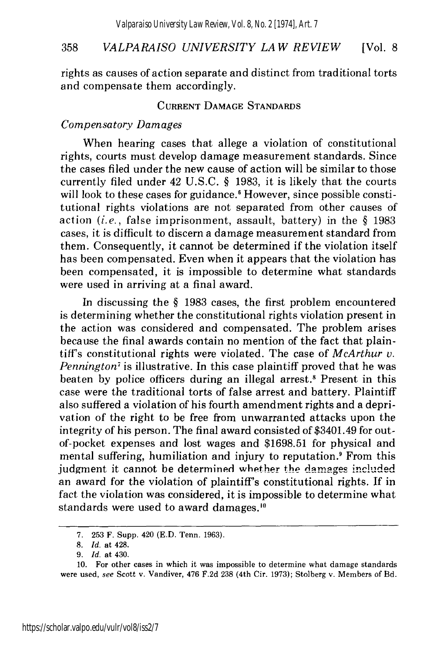rights as causes of action separate and distinct from traditional torts and compensate them accordingly.

## CURRENT DAMAGE STANDARDS

## *Compensatory Damages*

When hearing cases that allege a violation of constitutional rights, courts must develop damage measurement standards. Since the cases filed under the new cause of action will be similar to those currently filed under 42 U.S.C. § 1983, it is likely that the courts will look to these cases for guidance.<sup>6</sup> However, since possible constitutional rights violations are not separated from other causes of action *(i.e.,* false imprisonment, assault, battery) in the § 1983 cases, it is difficult to discern a damage measurement standard from them. Consequently, it cannot be determined if the violation itself has been compensated. Even when it appears that the violation has been compensated, it is impossible to determine what standards were used in arriving at a final award.

In discussing the § 1983 cases, the first problem encountered is determining whether the constitutional rights violation present in the action was considered and compensated. The problem arises because the final awards contain no mention of the fact that plaintiff's constitutional rights were violated. The case of *McArthur v. Pennington<sup>7</sup>* is illustrative. In this case plaintiff proved that he was beaten by police officers during an illegal arrest.<sup>8</sup> Present in this case were the traditional torts of false arrest and battery. Plaintiff also suffered a violation of his fourth amendment rights and a deprivation of the right to be free from unwarranted attacks upon the integrity of his person. The final award consisted of \$3401.49 for outof-pocket expenses and lost wages and \$1698.51 for physical and mental suffering, humiliation and injury to reputation? From this judgment it cannot be determined whether the damages included an award for the violation of plaintiff's constitutional rights. If in fact the violation was considered, it is impossible to determine what standards were used to award damages.<sup>10</sup>

<sup>7.</sup> 253 F. Supp. 420 (E.D. Tenn. 1963).

*<sup>8.</sup> Id.* at 428.

<sup>9.</sup> *Id.* at 430.

<sup>10.</sup> For other cases in which it was impossible to determine what damage standards were used, see Scott v. Vandiver, 476 F.2d 238 (4th Cir. 1973); Stolberg v. Members of Bd.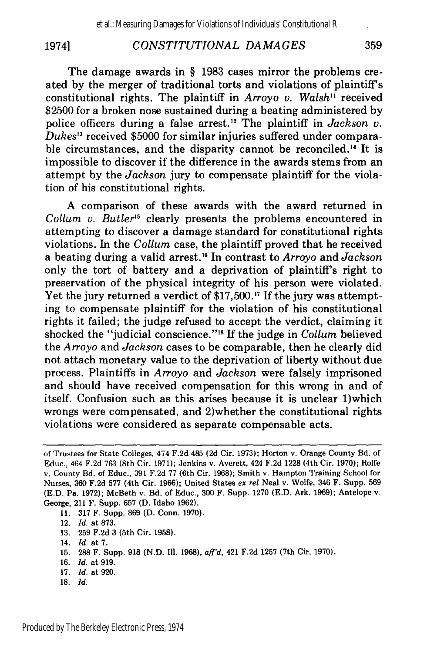19741

## *CONSTITUTIONAL DAMAGES*

The damage awards in § 1983 cases mirror the problems created by the merger of traditional torts and violations of plaintiff's constitutional rights. The plaintiff in *Arroyo v. Walsh"* received \$2500 for a broken nose sustained during a beating administered by police officers during a false arrest.<sup>12</sup> The plaintiff in *Jackson v*. *Dukes'3* received \$5000 for similar injuries suffered under comparable circumstances, and the disparity cannot be reconciled.<sup>14</sup> It is impossible to discover if the difference in the awards stems from an attempt by the *Jackson* jury to compensate plaintiff for the violation of his constitutional rights.

A comparison of these awards with the award returned in *Collum v. Butler'5* clearly presents the problems encountered in attempting to discover a damage standard for constitutional rights violations. In the *Collum* case, the plaintiff proved that he received a beating during a valid arrest.'" In contrast to *Arroyo* and *Jackson* only the tort of battery and a deprivation of plaintiff's right to preservation of the physical integrity of his person were violated. Yet the jury returned a verdict of \$17,500.<sup>17</sup> If the jury was attempting to compensate plaintiff for the violation of his constitutional rights it failed; the judge refused to accept the verdict, claiming it shocked the "judicial conscience."<sup>18</sup> If the judge in *Collum* believed the *Arroyo* and *Jackson* cases to be comparable, then he clearly did not attach monetary value to the deprivation of liberty without due process. Plaintiffs in *Arroyo* and *Jackson* were falsely imprisoned and should have received compensation for this wrong in and of itself. Confusion such as this arises because it is unclear 1)which wrongs were compensated, and 2)whether the constitutional rights violations were considered as separate compensable acts.

- **13. 259 F.2d 3** (5th Cir. **1958).**
- 14. *Id.* at **7.**
- **15. 288** F. Supp. **918 (N.D.** Ill. **1968),** *aff'd,* 421 **F.2d 1257** (7th Cir. **1970).**
- **16.** *Id.* at **919.**
- **17.** *Id.* at **920.**
- 18. Id.

of Trustees for State Colleges, 474 F.2d 485 (2d Cir. 1973); Horton v. Orange County Bd. of Educ., 464 F.2d 763 (8th Cir. 1971); Jenkins v. Averett, 424 F.2d 1228 (4th Cir. 1970); Rolfe v. County Bd. of Educ., 391 F.2d 77 (6th Cir. 1968); Smith v. Hampton Training School for Nurses, 360 F.2d 577 (4th Cir. 1966); United States ex rel Neal v. Wolfe, 346 F. Supp. 569 (E.D. Pa. 1972); McBeth v. Bd. of Educ., 300 F. Supp. 1270 (E.D. Ark. 1969); Antelope v. George, 211 F. Supp. 657 (D. Idaho 1962).

<sup>11. 317</sup> F. Supp. 869 (D. Conn. 1970).

<sup>12.</sup> *Id.* at 873.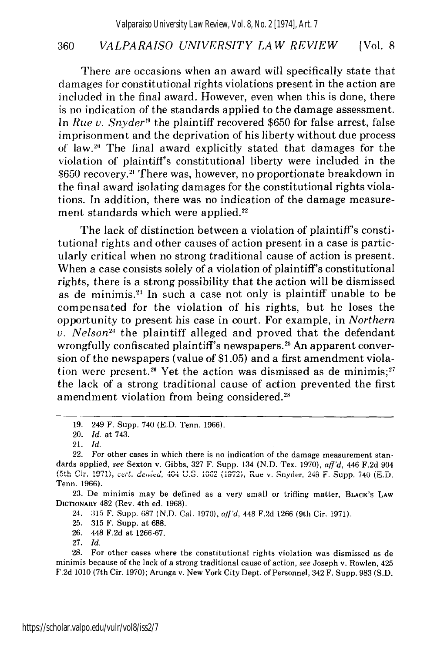There are occasions when an award will specifically state that damages for constitutional rights violations present in the action are included in the final award. However, even when this is done, there is no indication of the standards applied to the damage assessment. In *Rue v. Snyder*<sup>19</sup> the plaintiff recovered \$650 for false arrest, false imprisonment and the deprivation of his liberty without due process of law.<sup>20</sup> The final award explicitly stated that damages for the violation of plaintiff's constitutional liberty were included in the \$650 recovery.<sup>21</sup> There was, however, no proportionate breakdown in the final award isolating damages for the constitutional rights violations. In addition, there was no indication of the damage measurement standards which were applied.<sup>22</sup>

The lack of distinction between a violation of plaintiff's constitutional rights and other causes of action present in a case is particularly critical when no strong traditional cause of action is present. When a case consists solely of a violation of plaintiff's constitutional rights, there is a strong possibility that the action will be dismissed as de minimis.<sup>23</sup> In such a case not only is plaintiff unable to be compensated for the violation of his rights, but he loses the opportunity to present his case in court. For example, in *Northern* v. Nelson<sup>21</sup> the plaintiff alleged and proved that the defendant wrongfully confiscated plaintiff's newspapers.<sup>25</sup> An apparent conversion of the newspapers (value of \$1.05) and a first amendment violation were present.<sup>26</sup> Yet the action was dismissed as de minimis;<sup>27</sup> the lack of a strong traditional cause of action prevented the first amendment violation from being considered.<sup>28</sup>

23. De minimis may be defined as a very small or trifling matter, BLACK's LAW **DICTIONARY** 482 (Rev. 4th ed. 1968).

25. 315 F. Supp. at 688.

26. 448 F.2d at 1266-67.

27. *Id.*

28. For other cases where the constitutional rights violation was dismissed as de minimis because of the lack of a strong traditional cause of action, *see* Joseph v. Rowlen, 425 F.2d 1010 (7th Cir. 1970); Arunga v. New York City Dept. of Personnel, 342 F. Supp. 983 (S.D.

**<sup>19.</sup>** 249 F. Supp. 740 (E.D. Tenn. 1966).

<sup>20.</sup> *Id.* at 743.

<sup>21.</sup> *Id.*

<sup>22.</sup> For other cases in which there is no indication of the damage measurement standards applied, see Sexton v. Gibbs, 327 F. Supp. 134 (N.D. Tex. 1970), *aff'd,* 446 F.2d 904 (5th Cir. 1971), cert. denied, 404 U.S. 1062 (1972), Rue v. Snyder, 249 F. Supp. 740 (E.D. Tenn. 1966).

<sup>24.</sup> **:315** F. Supp. 687 (N.D. Cal. 1970), aff'd, 448 F.2d 1266 (9th Cir. **1971).**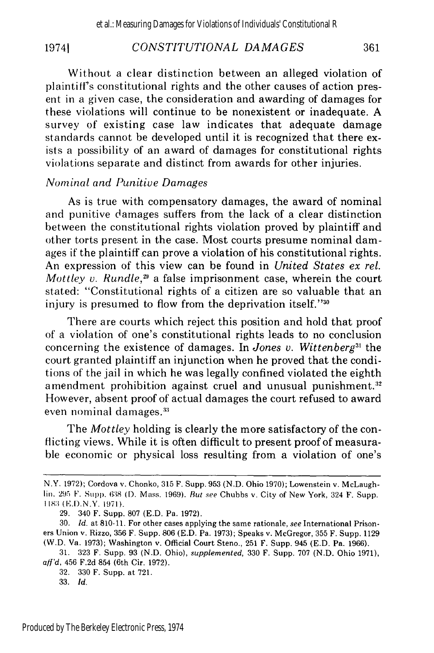#### *CONSTITUTIONAL DAMAGES* 19741 361

Without a clear distinction between an alleged violation of plaintiff's constitutional rights and the other causes of action present in a given case, the consideration and awarding of damages for these violations will continue to be nonexistent or inadequate. A survey of existing case law indicates that adequate damage standards cannot be developed until it is recognized that there exists a possibility of an award of damages for constitutional rights violations separate and distinct from awards for other injuries.

## *Nominal and Punitive Damages*

As is true with compensatory damages, the award of nominal and punitive damages suffers from the lack of a clear distinction between the constitutional rights violation proved by plaintiff and other torts present in the case. Most courts presume nominal damages if the plaintiff can prove a violation of his constitutional rights. An expression of this view can be found in *United States ex rel. Mottley v. Rundle*,<sup>29</sup> a false imprisonment case, wherein the court stated: "Constitutional rights of a citizen are so valuable that an injury is presumed to flow from the deprivation itself."30

There are courts which reject this position and hold that proof of a violation of one's constitutional rights leads to no conclusion concerning the existence of damages. In *Jones v. Wittenberg31* the court granted plaintiff an injunction when he proved that the conditions of the jail in which he was legally confined violated the eighth amendment prohibition against cruel and unusual punishment.<sup>32</sup> However, absent proof of actual damages the court refused to award even nominal damages.<sup>33</sup>

The *Mottley* holding is clearly the more satisfactory of the conflicting views. While it is often difficult to present proof of measurable economic or physical loss resulting from a violation of one's

N.Y. 1972); Cordova v. Chonko, 315 F. Supp. 953 (N.D. Ohio 1970); Lowenstein v. McLaughlin. 295 F. Supp. **638 (1).** Mass. 1969). *But see* Chubbs v. City of New York, 324 F. Supp. 1183 (E.D.N.Y. 1971).

<sup>29. 340</sup> F. Supp. 807 (E.D. Pa. 1972).

<sup>30.</sup> **Id.** at 810-11. For other cases applying the same rationale, *see* International Prisoners Union v. Rizzo, 356 F. Supp. 806 (E.D. Pa. 1973); Speaks v. McGregor, 355 F. Supp. 1129 (W.D. Va. 1973); Washington v. Official Court Steno., 251 F. Supp. 945 (E.D. Pa. 1966).

<sup>31. 323</sup> F. Supp. 93 (N.D. Ohio), *supplemented,* 330 F. Supp. 707 (N.D. Ohio 1971), *aff'd,* 456 F.2d 854 (6th Cir. 1972).

<sup>32. 330</sup> F. Supp. at 721.

<sup>33.</sup> *Id.*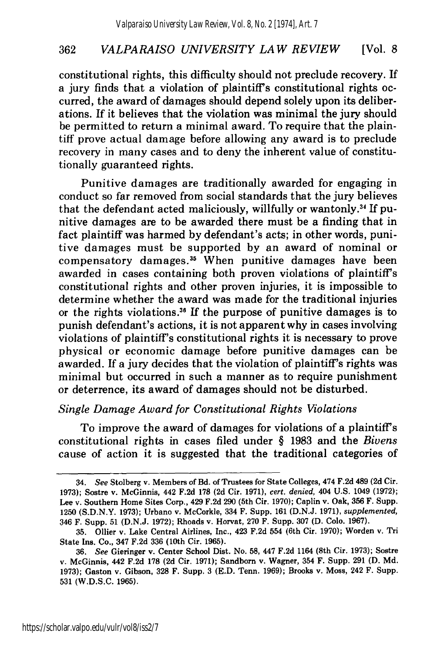constitutional rights, this difficulty should not preclude recovery. If a jury finds that a violation of plaintiffs constitutional rights occurred, the award of damages should depend solely upon its deliberations. If it believes that the violation was minimal the jury should be permitted to return a minimal award. To require that the plaintiff prove actual damage before allowing any award is to preclude recovery in many cases and to deny the inherent value of constitutionally guaranteed rights.

Punitive damages are traditionally awarded for engaging in conduct so far removed from social standards that the jury believes that the defendant acted maliciously, willfully or wantonly.<sup>34</sup> If punitive damages are to be awarded there must be a finding that in fact plaintiff was harmed by defendant's acts; in other words, punitive damages must be supported by an award of nominal or compensatory damages.<sup>35</sup> When punitive damages have been awarded in cases containing both proven violations of plaintiff's constitutional rights and other proven injuries, it is impossible to determine whether the award was made for the traditional injuries or the rights violations.36 If the purpose of punitive damages is to punish defendant's actions, it is not apparent why in cases involving violations of plaintiff's constitutional rights it is necessary to prove physical or economic damage before punitive damages can be awarded. If a jury decides that the violation of plaintiff's rights was minimal but occurred in such a manner as to require punishment or deterrence, its award of damages should not be disturbed.

## *Single Damage Award for Constitutional Rights Violations*

To improve the award of damages for violations of a plaintiff's constitutional rights in cases filed under § 1983 and the *Bivens* cause of action it is suggested that the traditional categories of

<sup>34.</sup> *See* Stolberg v. Members of Bd. of Trustees for State Colleges, 474 F.2d 489 (2d Cir. **1973);** Sostre v. McGinnis, 442 **F.2d 178** (2d Cir. 1971), *cert. denied,* 404 U.S. 1049 (1972); **Lee** v. **Southern Home Sites Corp., 429 F.2d 290 (5th Cir. 1970); Caplin** v. **Oak, 356 F. Supp. 1250 (S.D.N.Y. 1973);** Urbano v. McCorkle, 334 F. Supp. **161 (D.N.J. 1971),** *supplemented,* 346 F. Supp. **51 (D.N.J. 1972);** Rhoads v. Horvat, **270** F. Supp. **307 (D. Colo. 1967).**

**<sup>35.</sup>** Oilier v. Lake Central Airlines, Inc., 423 **F.2d** 554 (6th Cir. **1970);** Worden v. **Tri** State Ins. Co., 347 **F.2d 336** (10th Cir. **1965).**

**<sup>36.</sup>** *See* Gieringer v. Center School Dist. No. **58,** 447 **F.2d** 1164 (8th Cir. **1973);** Sostre **v. McGinnis, 442 F.2d 178 (2d Cir. 1971); Sandborn** v. **Wagner,** 354 F. Supp. **291 (D. Md. 1973);** Gaston v. Gibson, **328** F. Supp. **3 (E.D.** Tenn. **1969);** Brooks v. Moss, 242 F. Supp. **531** (W.D.S.C. **1965).**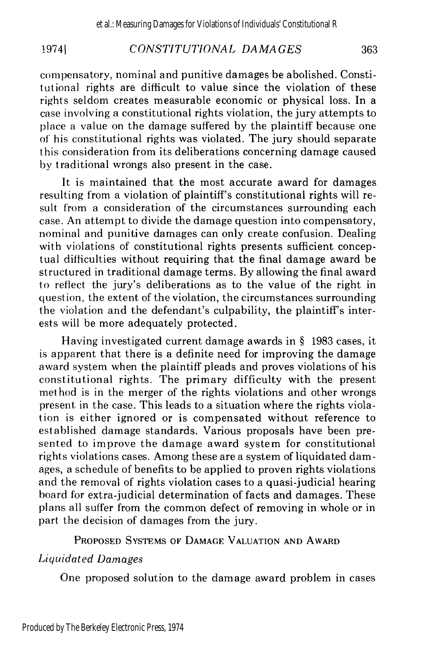#### 19741 *CONSTITUTIONAL DAMA GES* 363

compensatory, nominal and punitive damages be abolished. Constitutional rights are difficult to value since the violation of these rights seldom creates measurable economic or physical loss. In a case involving a constitutional rights violation, the jury attempts to place a value on the damage suffered by the plaintiff because one of' his constitutional rights was violated. The jury should separate this consideration from its deliberations concerning damage caused by traditional wrongs also present in the case.

It is maintained that the most accurate award for damages resulting from a violation of plaintiff's constitutional rights will result from a consideration of the circumstances surrounding each case. An attempt to divide the damage question into compensatory, nominal and punitive damages can only create confusion. Dealing with violations of constitutional rights presents sufficient conceptual difficulties without requiring that the final damage award be structured in traditional damage terms. By allowing the final award to reflect the jury's deliberations as to the value of the right in question, the extent of the violation, the circumstances surrounding the violation and the defendant's culpability, the plaintiff's interests will be more adequately protected.

Having investigated current damage awards in § 1983 cases, it is apparent that there is a definite need for improving the damage award system when the plaintiff pleads and proves violations of his constitutional rights. The primary difficulty with the present method is in the merger of the rights violations and other wrongs present in the case. This leads to a situation where the rights violation is either ignored or is compensated without reference to established damage standards. Various proposals have been presented to improve the damage award system for constitutional rights violations cases. Among these are a system of liquidated damages, a schedule of benefits to be applied to proven rights violations and the removal of rights violation cases to a quasi-judicial hearing board for extra-judicial determination of facts and damages. These plans all suffer from the common defect of removing in whole or in part the decision of damages from the jury.

PROPOSED **SYSTEMS** OF **DAMAGE VALUATION AND** AWARD

## *Liquidated Damages*

One proposed solution to the damage award problem in cases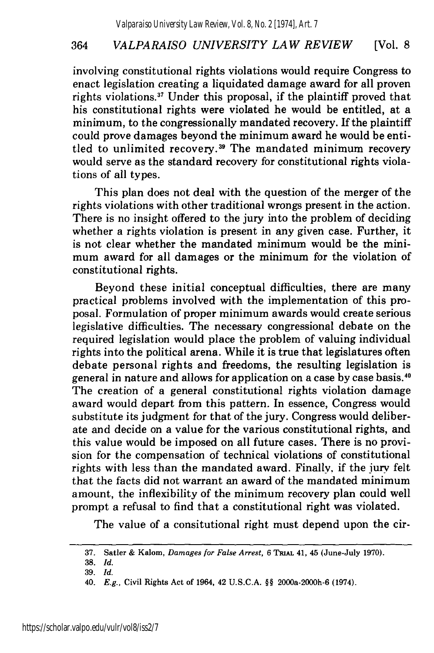involving constitutional rights violations would require Congress to enact legislation creating a liquidated damage award for all proven rights violations.<sup>37</sup> Under this proposal, if the plaintiff proved that his constitutional rights were violated he would be entitled, at a minimum, to the congressionally mandated recovery. If the plaintiff could prove damages beyond the minimum award he would be entitled to unlimited recovery.<sup>39</sup> The mandated minimum recovery would serve as the standard recovery for constitutional rights violations of all types.

This plan does not deal with the question of the merger of the rights violations with other traditional wrongs present in the action. There is no insight offered to the jury into the problem of deciding whether a rights violation is present in any given case. Further, it is not clear whether the mandated minimum would be the minimum award for all damages or the minimum for the violation of constitutional rights.

Beyond these initial conceptual difficulties, there are many practical problems involved with the implementation of this proposal. Formulation of proper minimum awards would create serious legislative difficulties. The necessary congressional debate on the required legislation would place the problem of valuing individual rights into the political arena. While it is true that legislatures often debate personal rights and freedoms, the resulting legislation is general in nature and allows for application on a case by case basis.40 The creation of a general constitutional rights violation damage award would depart from this pattern. In essence, Congress would substitute its judgment for that of the jury. Congress would deliberate and decide on a value for the various constitutional rights, and this value would be imposed on all future cases. There is no provision for the compensation of technical violations of constitutional rights with less than the mandated award. Finally, if the jury felt that the facts did not warrant an award of the mandated minimum amount, the inflexibility of the minimum recovery plan could well prompt a refusal to find that a constitutional right was violated.

The value of a consitutional right must depend upon the cir-

<sup>37.</sup> Satler & Kalom, *Damages for False Arrest,* **6 TmAI** 41, 45 (June-July **1970).**

<sup>38.</sup> *Id.*

<sup>39.</sup> *Id.*

<sup>40.</sup> *E.g.,* Civil Rights Act of 1964, 42 U.S.C.A. §§ 2000a-2000h-6 (1974).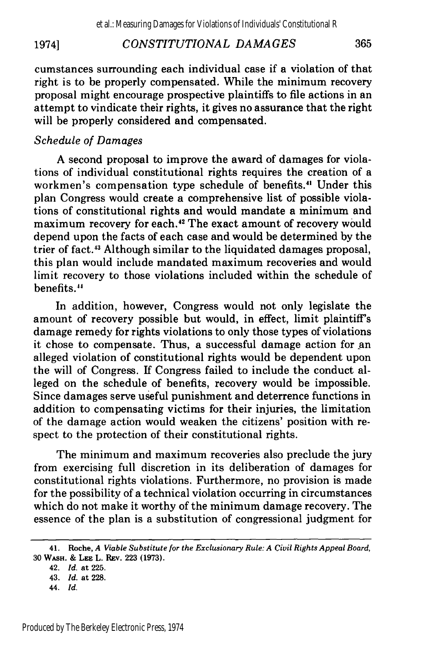#### *CONSTITUTIONAL DAMAGES* 19741

cumstances surrounding each individual case if a violation of that right is to be properly compensated. While the minimum recovery proposal might encourage prospective plaintiffs to file actions in an attempt to vindicate their rights, it gives no assurance that the right will be properly considered and compensated.

## *Schedule of Damages*

A second proposal to improve the award of damages for violations of individual constitutional rights requires the creation of a workmen's compensation type schedule of benefits.<sup>41</sup> Under this plan Congress would create a comprehensive list of possible violations of constitutional rights and would mandate a minimum and maximum recovery for each.<sup>42</sup> The exact amount of recovery would depend upon the facts of each case and would be determined by the trier of fact.<sup>43</sup> Although similar to the liquidated damages proposal, this plan would include mandated maximum recoveries and would limit recovery to those violations included within the schedule of benefits.<sup>44</sup>

In addition, however, Congress would not only legislate the amount of recovery possible but would, in effect, limit plaintiff's damage remedy for rights violations to only those types of violations it chose to compensate. Thus, a successful damage action for an alleged violation of constitutional rights would be dependent upon the will of Congress. If Congress failed to include the conduct alleged on the schedule of benefits, recovery would be impossible. Since damages serve useful punishment and deterrence functions in addition to compensating victims for their injuries, the limitation of the damage action would weaken the citizens' position with respect to the protection of their constitutional rights.

The minimum and maximum recoveries also preclude the jury from exercising full discretion in its deliberation of damages for constitutional rights violations. Furthermore, no provision is made for the possibility of a technical violation occurring in circumstances which do not make it worthy of the minimum damage recovery. The essence of the plan is a substitution of congressional judgment for

42. *Id.* at **225.**

**<sup>41.</sup> Roche,** *A Viable Substitute for the Exclusionary Rule: A Civil Rights Appeal Board,* 30 WASH. **& LEE L. Rzv. 223 (1973).**

<sup>43.</sup> *Id.* at **228.**

<sup>44.</sup> *Id.*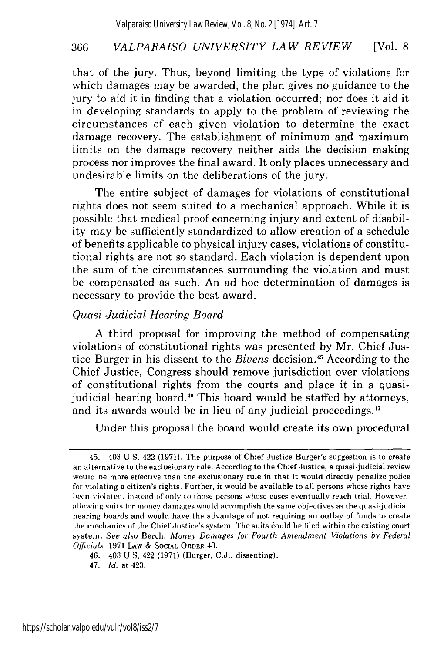that of the jury. Thus, beyond limiting the type of violations for which damages may be awarded, the plan gives no guidance to the jury to aid it in finding that a violation occurred; nor does it aid it in developing standards to apply to the problem of reviewing the circumstances of each given violation to determine the exact damage recovery. The establishment of minimum and maximum limits on the damage recovery neither aids the decision making process nor improves the final award. It only places unnecessary and undesirable limits on the deliberations of the jury.

The entire subject of damages for violations of constitutional rights does not seem suited to a mechanical approach. While it is possible that medical proof concerning injury and extent of disability may be sufficiently standardized to allow creation of a schedule of benefits applicable to physical injury cases, violations of constitutional rights are not so standard. Each violation is dependent upon the sum of the circumstances surrounding the violation and must be compensated as such. An ad hoc determination of damages is necessary to provide the best award.

## *Quasi-Judicial Hearing Board*

A third proposal for improving the method of compensating violations of constitutional rights was presented by Mr. Chief Justice Burger in his dissent to the *Bivens* decision.15 According to the Chief Justice, Congress should remove jurisdiction over violations of constitutional rights from the courts and place it in a quasijudicial hearing board.<sup>46</sup> This board would be staffed by attorneys, and its awards would be in lieu of any judicial proceedings.<sup>47</sup>

Under this proposal the board would create its own procedural

<sup>45. 403</sup> U.S. 422 (1971). The purpose of Chief Justice Burger's suggestion is to create an alternative to the exclusionary rule. According to the Chief Justice, a quasi-judicial review would be more effective than the exclusionary rule in that it would directly penalize police for violating a citizen's rights, Further, it would be available to all persons whose rights have been violated, instead of only to those persons whose cases eventually reach trial. However, allowing **suils** br mooey damages would accomplish the same objectives as the quasi-judicial hearing boards and would have the advantage of not requiring an outlay of funds to create the mechanics of the Chief Justice's system. The suits could be filed within the existing court system. *See also* Berch, *Money Damages for Fourth Amendment Violations by Federal Officials,* 1971 LAW & SOCIAL ORDER 43.

<sup>46. 403</sup> U.S. 422 (1971) (Burger, C.J., dissenting).

<sup>47.</sup> *Id.* at 423.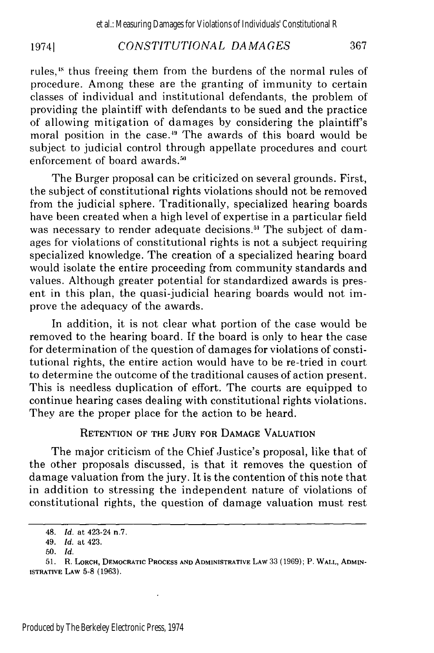#### *CONSTITUTIONAL DAMAGES* 19741

rules,<sup>18</sup> thus freeing them from the burdens of the normal rules of procedure. Among these are the granting of immunity to certain classes of individual and institutional defendants, the problem of providing the plaintiff with defendants to be sued and the practice of allowing mitigation of damages by considering the plaintiff's moral position in the case."' The awards of this board would be subject to judicial control through appellate procedures and court enforcement of board awards.'

The Burger proposal can be criticized on several grounds. First, the subject of constitutional rights violations should not be removed from the judicial sphere. Traditionally, specialized hearing boards have been created when a high level of expertise in a particular field was necessary to render adequate decisions.<sup>51</sup> The subject of damages for violations of constitutional rights is not a subject requiring specialized knowledge. The creation of a specialized hearing board would isolate the entire proceeding from community standards and values. Although greater potential for standardized awards is present in this plan, the quasi-judicial hearing boards would not improve the adequacy of the awards.

In addition, it is not clear what portion of the case would be removed to the hearing board. If the board is only to hear the case for determination of the question of damages for violations of constitutional rights, the entire action would have to be re-tried in court to determine the outcome of the traditional causes of action present. This is needless duplication of effort. The courts are equipped to continue hearing cases dealing with constitutional rights violations. They are the proper place for the action to be heard.

## **RETENTION** OF THE **JURY** FOR **DAMAGE VALUATION**

The major criticism of the Chief Justice's proposal, like that of the other proposals discussed, is that it removes the question of damage valuation from the jury. It is the contention of this note that in addition to stressing the independent nature of violations of constitutional rights, the question of damage valuation must rest

<sup>48.</sup> *Id.* at 423-24 n.7.

<sup>49.</sup> *Id.* at 423.

**<sup>50.</sup>** *Id.*

<sup>51.</sup> R. LORCH, DEMOCRATIC **PROCESS AND ADMINISTRATIVE** LAW 33 (1969); P. WALL, ADMIN-ISTRATIVE LAW **5-8 (1963).**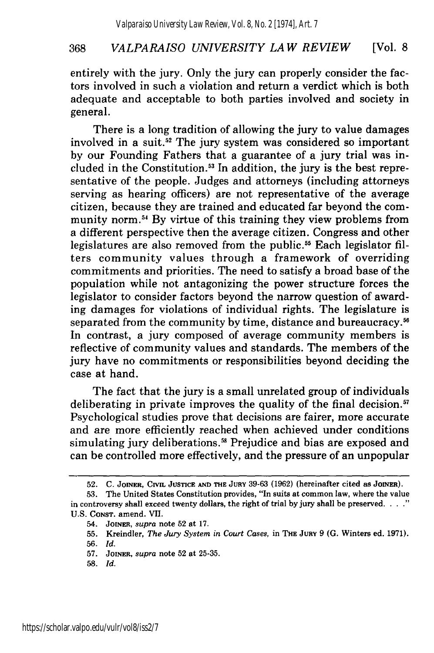entirely with the jury. Only the jury can properly consider the factors involved in such a violation and return a verdict which is both adequate and acceptable to both parties involved and society in general.

There is a long tradition of allowing the jury to value damages involved in a suit.<sup>52</sup> The jury system was considered so important by our Founding Fathers that a guarantee of a jury trial was included in the Constitution.<sup>53</sup> In addition, the jury is the best representative of the people. Judges and attorneys (including attorneys serving as hearing officers) are not representative of the average citizen, because they are trained and educated far beyond the community norm. 54 By virtue of this training they view problems from a different perspective then the average citizen. Congress and other legislatures are also removed from the public.<sup>55</sup> Each legislator filters community values through a framework of overriding commitments and priorities. The need to satisfy a broad base of the population while not antagonizing the power structure forces the legislator to consider factors beyond the narrow question of awarding damages for violations of individual rights. The legislature is separated from the community by time, distance and bureaucracy.<sup>56</sup> In contrast, a jury composed of average community members is reflective of community values and standards. The members of the jury have no commitments or responsibilities beyond deciding the case at hand.

The fact that the jury is a small unrelated group of individuals deliberating in private improves the quality of the final decision.<sup>57</sup> Psychological studies prove that decisions are fairer, more accurate and are more efficiently reached when achieved under conditions simulating jury deliberations.<sup>58</sup> Prejudice and bias are exposed and can be controlled more effectively, and the pressure of an unpopular

58. *Id.*

**<sup>52.</sup> C. JOINER, CIvIL JUSTICE AND THE** JUvY **39-63 (1962)** (hereinafter cited as **JOINER).**

**<sup>53.</sup>** The United States Constitution provides, "In suits at common law, where the value in controversy shall exceed twenty dollars, the right of trial by jury shall be preserved. . . ." U.S. CONST. amend. VII.

<sup>54.</sup> **JOINER,** *supra* note 52 at 17.

<sup>55.</sup> Kreindler, *The Jury System in Court Cases,* in **THE JURY** 9 **(G.** Winters ed. 1971).

<sup>56.</sup> *Id.*

<sup>57.</sup> **JOINER,** *supra* note 52 at 25-35.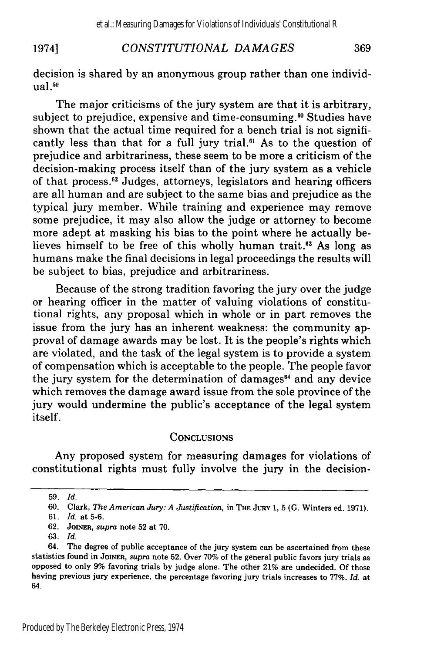#### 1974] *CONSTITUTIONAL DAMAGES* 369

decision is shared by an anonymous group rather than one individ $ual.<sup>59</sup>$ 

The major criticisms of the jury system are that it is arbitrary, subject to prejudice, expensive and time-consuming.<sup>60</sup> Studies have shown that the actual time required for a bench trial is not significantly less than that for a full jury trial.<sup>61</sup> As to the question of prejudice and arbitrariness, these seem to be more a criticism of the decision-making process itself than of the jury system as a vehicle of that process.<sup>62</sup> Judges, attorneys, legislators and hearing officers are all human and are subject to the same bias and prejudice as the typical jury member. While training and experience may remove some prejudice, it may also allow the judge or attorney to become more adept at masking his bias to the point where he actually believes himself to be free of this wholly human trait.<sup>63</sup> As long as humans make the final decisions in legal proceedings the results will be subject to bias, prejudice and arbitrariness.

Because of the strong tradition favoring the jury over the judge or hearing officer in the matter of valuing violations of constitutional rights, any proposal which in whole or in part removes the issue from the jury has an inherent weakness: the community approval of damage awards may be lost. It is the people's rights which are violated, and the task of the legal system is to provide a system of compensation which is acceptable to the people. The people favor the jury system for the determination of damages $^{64}$  and any device which removes the damage award issue from the sole province of the jury would undermine the public's acceptance of the legal system itself.

#### **CONCLUSIONS**

Any proposed system for measuring damages for violations of constitutional rights must fully involve the jury in the decision-

**<sup>59.</sup>** *Id.*

**<sup>60.</sup> Clark,** *The American Jury: A Justification,* in **THE JuRY 1,** 5 **(G.** Winters ed. **1971).**

**<sup>61.</sup>** *Id.* **at 5-6.**

**<sup>62.</sup> JOINER,** *supra* note **52** at **70.**

**<sup>63.</sup>** *Id.*

<sup>64.</sup> The degree of public acceptance of the jury system can be ascertained from these statistics found in **JOINER,** *supra* note **52.** Over **70%** of the general public favors jury trials as opposed to only **9%** favoring trials **by** judge alone. The other 21% are undecided. **Of** those having previous jury experience, the percentage favoring jury trials increases to **77%.** *Id.* at 64.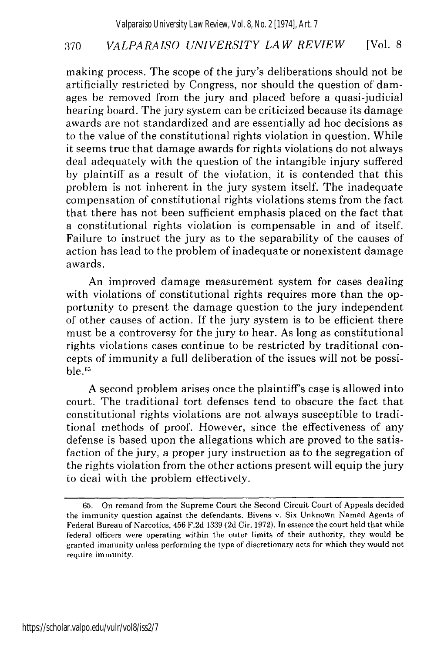making process. The scope of the jury's deliberations should not be artificially restricted by Congress, nor should the question of damages be removed from the jury and placed before a quasi-judicial hearing board. The jury system can be criticized because its damage awards are not standardized and are essentially ad hoc decisions as to the value of the constitutional rights violation in question. While it seems true that damage awards for rights violations do not always deal adequately with the question of the intangible injury suffered by plaintiff as a result of the violation, it is contended that this problem is not inherent in the jury system itself. The inadequate compensation of constitutional rights violations stems from the fact that there has not been sufficient emphasis placed on the fact that a constitutional rights violation is compensable in and of itself. Failure to instruct the jury as to the separability of the causes of action has lead to the problem of inadequate or nonexistent damage awards.

An improved damage measurement system for cases dealing with violations of constitutional rights requires more than the opportunity to present the damage question to the jury independent of other causes of action. If the jury system is to be efficient there must be a controversy for the jury to hear. As long as constitutional rights violations cases continue to be restricted by traditional concepts of immunity a full deliberation of the issues will not be possible.<sup>65</sup>

A second problem arises once the plaintiff's case is allowed into court. The traditional tort defenses tend to obscure the fact that constitutional rights violations are not always susceptible to traditional methods of proof. However, since the effectiveness of any defense is based upon the allegations which are proved to the satisfaction of the jury, a proper jury instruction as to the segregation of the rights violation from the other actions present will equip the jury to deal with the problem effectively.

<sup>65.</sup> On remand from the Supreme Court the Second Circuit Court of Appeals decided the immunity question against the defendants. Bivens v. Six Unknown Named Agents of Federal Bureau of Narcotics, 456 F.2d 1339 (2d Cir. 1972). In essence the court held that while federal officers were operating within the outer limits of their authority, they would be granted immunity unless performing the type of discretionary acts for which they would not require immunity.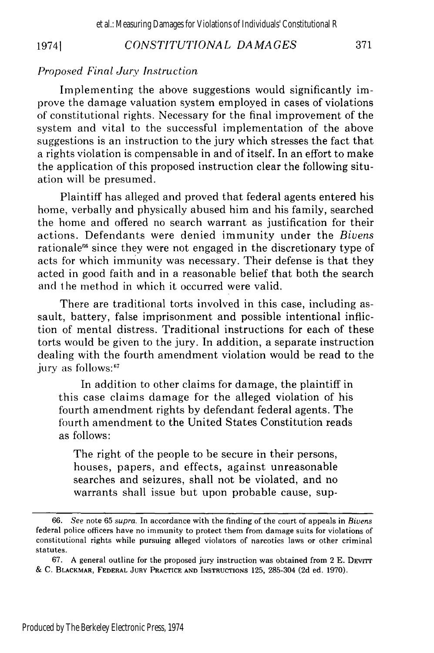## <sup>19741</sup> *CONSTITUTIONAL DA MA GES*

#### *Proposed Final Jury Instruction*

Implementing the above suggestions would significantly improve the damage valuation system employed in cases of violations of constitutional rights. Necessary for the final improvement of the system and vital to the successful implementation of the above suggestions is an instruction to the jury which stresses the fact that a rights violation is compensable in and of itself. In an effort to make the application of this proposed instruction clear the following situation will be presumed.

Plaintiff has alleged and proved that federal agents entered his home, verbally and physically abused him and his family, searched the home and offered no search warrant as justification for their actions. Defendants were denied immunity under the *Bivens* rationale<sup>66</sup> since they were not engaged in the discretionary type of acts for which immunity was necessary. Their defense is that they acted in good faith and in a reasonable belief that both the search and the method in which it occurred were valid.

There are traditional torts involved in this case, including assault, battery, false imprisonment and possible intentional infliction of mental distress. Traditional instructions for each of these torts would be given to the jury. In addition, a separate instruction dealing with the fourth amendment violation would be read to the jury as follows:<sup>67</sup>

In addition to other claims for damage, the plaintiff in this case claims damage for the alleged violation of his fourth amendment rights by defendant federal agents. The fourth amendment to the United States Constitution reads as follows:

The right of the people to be secure in their persons, houses, papers, and effects, against unreasonable searches and seizures, shall not be violated, and no warrants shall issue but upon probable cause, sup-

<sup>66.</sup> *See* note 65 *supra.* In accordance with the finding of the court of appeals in *Bivens* federal police officers have no immunity to protect them from damage suits for violations of constitutional rights while pursuing alleged violators of narcotics laws or other criminal statutes.

<sup>67.</sup> A general outline for the proposed jury instruction was obtained from 2 E. DEvrrr *&* C. **BLACKMAR, FEDERAL JURY PRACTICE AND INSTRUCTIONS** 125, 285-304 (2d ed. 1970).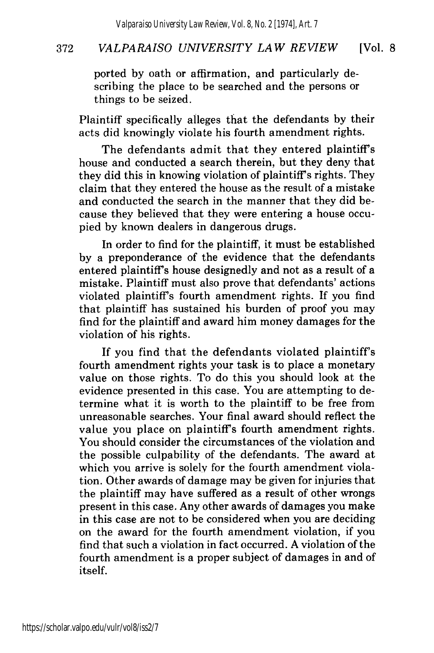ported by oath or affirmation, and particularly describing the place to be searched and the persons or things to be seized.

Plaintiff specifically alleges that the defendants by their acts did knowingly violate his fourth amendment rights.

The defendants admit that they entered plaintiff's house and conducted a search therein, but they deny that they did this in knowing violation of plaintiff's rights. They claim that they entered the house as the result of a mistake and conducted the search in the manner that they did because they believed that they were entering a house occupied by known dealers in dangerous drugs.

In order to find for the plaintiff, it must be established by a preponderance of the evidence that the defendants entered plaintiff's house designedly and not as a result of a mistake. Plaintiff must also prove that defendants' actions violated plaintiff's fourth amendment rights. If you find that plaintiff has sustained his burden of proof you may find for the plaintiff and award him money damages for the violation of his rights.

If you find that the defendants violated plaintiff's fourth amendment rights your task is to place a monetary value on those rights. To do this you should look at the evidence presented in this case. You are attempting to determine what it is worth to the plaintiff to be free from unreasonable searches. Your final award should reflect the value you place on plaintiff's fourth amendment rights. You should consider the circumstances of the violation and the possible culpability of the defendants. The award at which you arrive is solely for the fourth amendment violation. Other awards of damage may be given for injuries that the plaintiff may have suffered as a result of other wrongs present in this case. Any other awards of damages you make in this case are not to be considered when you are deciding on the award for the fourth amendment violation, if you find that such a violation in fact occurred. A violation of the fourth amendment is a proper subject of damages in and of itself.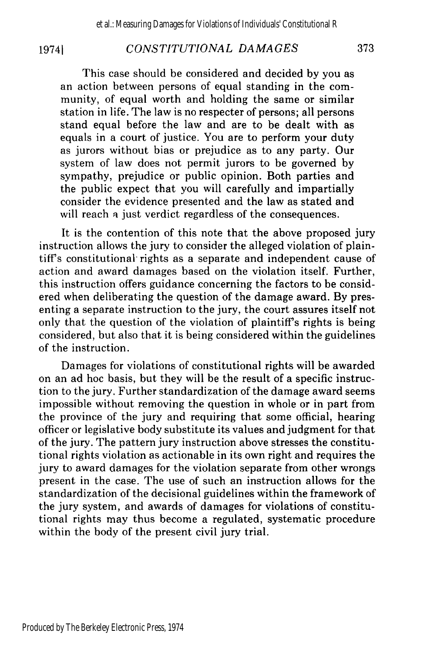### 19741

## *CONSTITUTIONAL DAMAGES*

This case should be considered and decided by you as an action between persons of equal standing in the community, of equal worth and holding the same or similar station in life. The law is no respecter of persons; all persons stand equal before the law and are to be dealt with as equals in a court of justice. You are to perform your duty as jurors without bias or prejudice as to any party. Our system of law does not permit jurors to be governed by sympathy, prejudice or public opinion. Both parties and the public expect that you will carefully and impartially consider the evidence presented and the law as stated and will reach a just verdict regardless of the consequences.

It is the contention of this note that the above proposed jury instruction allows the jury to consider the alleged violation of plaintiffs constitutional rights as a separate and independent cause of action and award damages based on the violation itself. Further, this instruction offers guidance concerning the factors to be considered when deliberating the question of the damage award. By presenting a separate instruction to the jury, the court assures itself not only that the question of the violation of plaintiff's rights is being considered, but also that it is being considered within the guidelines of the instruction.

Damages for violations of constitutional rights will be awarded on an ad hoc basis, but they will be the result of a specific instruction to the jury. Further standardization of the damage award seems impossible without removing the question in whole or in part from the province of the jury and requiring that some official, hearing officer or legislative body substitute its values and judgment for that of the jury. The pattern jury instruction above stresses the constitutional rights violation as actionable in its own right and requires the jury to award damages for the violation separate from other wrongs present in the case. The use of such an instruction allows for the standardization of the decisional guidelines within the framework of the jury system, and awards of damages for violations of constitutional rights may thus become a regulated, systematic procedure within the body of the present civil jury trial.

373